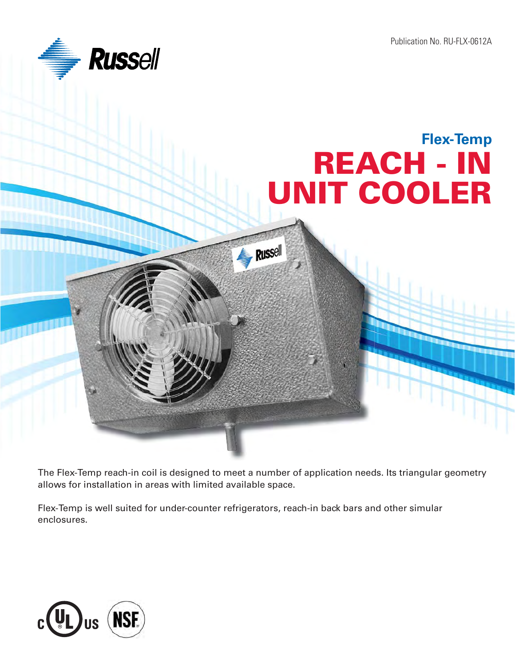Publication No. RU-FLX-0612A



## **REACH - IN UNIT COOLER Flex-Temp**

**Russell** 

The Flex-Temp reach-in coil is designed to meet a number of application needs. Its triangular geometry allows for installation in areas with limited available space.

Flex-Temp is well suited for under-counter refrigerators, reach-in back bars and other simular enclosures.